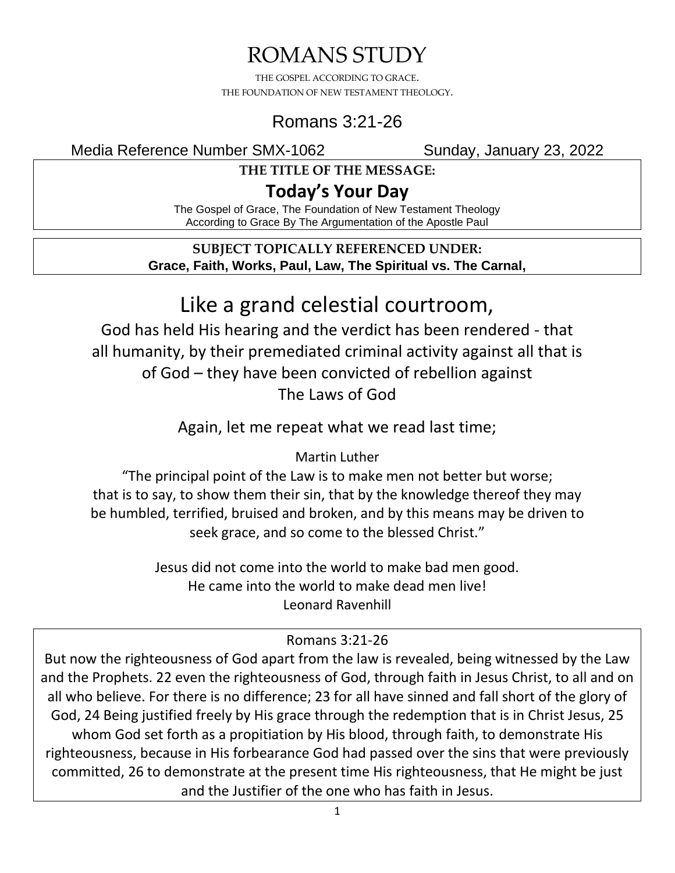# ROMANS STUDY

THE GOSPEL ACCORDING TO GRACE. THE FOUNDATION OF NEW TESTAMENT THEOLOGY.

## Romans 3:21-26

Media Reference Number SMX-1062 Sunday, January 23, 2022

**THE TITLE OF THE MESSAGE:**

## **Today's Your Day**

The Gospel of Grace, The Foundation of New Testament Theology According to Grace By The Argumentation of the Apostle Paul

#### **SUBJECT TOPICALLY REFERENCED UNDER: Grace, Faith, Works, Paul, Law, The Spiritual vs. The Carnal,**

# Like a grand celestial courtroom,

God has held His hearing and the verdict has been rendered - that all humanity, by their premediated criminal activity against all that is of God – they have been convicted of rebellion against The Laws of God

Again, let me repeat what we read last time;

### Martin Luther

"The principal point of the Law is to make men not better but worse; that is to say, to show them their sin, that by the knowledge thereof they may be humbled, terrified, bruised and broken, and by this means may be driven to seek grace, and so come to the blessed Christ."

> Jesus did not come into the world to make bad men good. He came into the world to make dead men live! Leonard Ravenhill

### Romans 3:21-26

But now the righteousness of God apart from the law is revealed, being witnessed by the Law and the Prophets. 22 even the righteousness of God, through faith in Jesus Christ, to all and on all who believe. For there is no difference; 23 for all have sinned and fall short of the glory of God, 24 Being justified freely by His grace through the redemption that is in Christ Jesus, 25 whom God set forth as a propitiation by His blood, through faith, to demonstrate His righteousness, because in His forbearance God had passed over the sins that were previously committed, 26 to demonstrate at the present time His righteousness, that He might be just and the Justifier of the one who has faith in Jesus.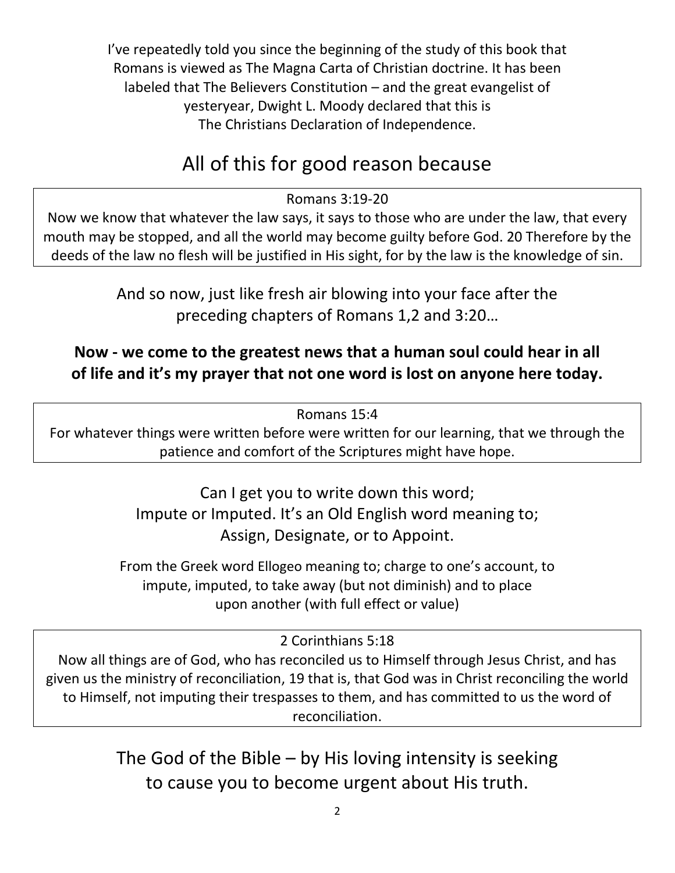I've repeatedly told you since the beginning of the study of this book that Romans is viewed as The Magna Carta of Christian doctrine. It has been labeled that The Believers Constitution – and the great evangelist of yesteryear, Dwight L. Moody declared that this is The Christians Declaration of Independence.

# All of this for good reason because

#### Romans 3:19-20

Now we know that whatever the law says, it says to those who are under the law, that every mouth may be stopped, and all the world may become guilty before God. 20 Therefore by the deeds of the law no flesh will be justified in His sight, for by the law is the knowledge of sin.

> And so now, just like fresh air blowing into your face after the preceding chapters of Romans 1,2 and 3:20…

### **Now - we come to the greatest news that a human soul could hear in all of life and it's my prayer that not one word is lost on anyone here today.**

Romans 15:4

For whatever things were written before were written for our learning, that we through the patience and comfort of the Scriptures might have hope.

> Can I get you to write down this word; Impute or Imputed. It's an Old English word meaning to; Assign, Designate, or to Appoint.

From the Greek word Ellogeo meaning to; charge to one's account, to impute, imputed, to take away (but not diminish) and to place upon another (with full effect or value)

2 Corinthians 5:18

Now all things are of God, who has reconciled us to Himself through Jesus Christ, and has given us the ministry of reconciliation, 19 that is, that God was in Christ reconciling the world to Himself, not imputing their trespasses to them, and has committed to us the word of reconciliation.

> The God of the Bible – by His loving intensity is seeking to cause you to become urgent about His truth.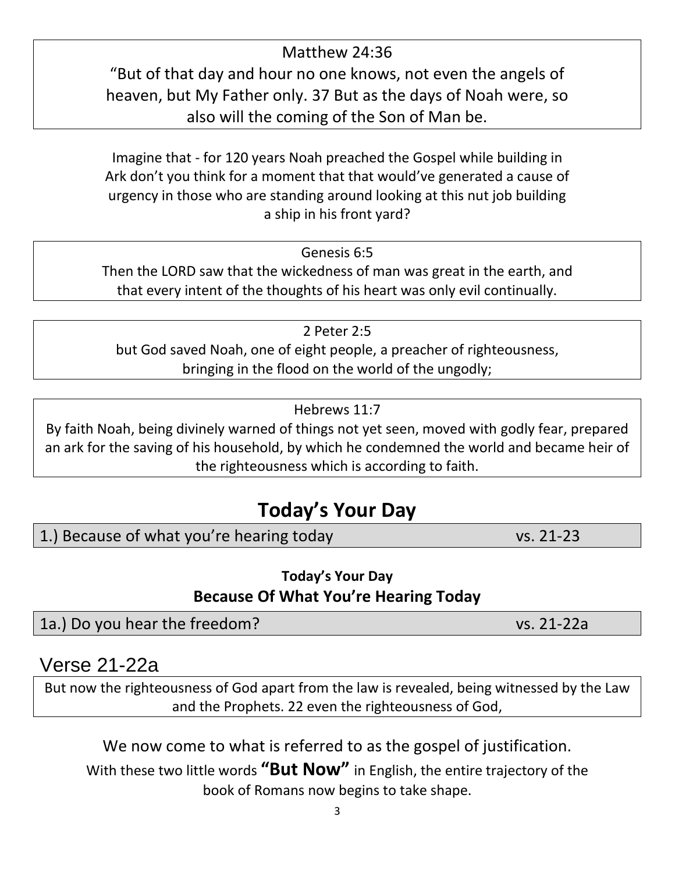3

Matthew 24:36

"But of that day and hour no one knows, not even the angels of heaven, but My Father only. 37 But as the days of Noah were, so also will the coming of the Son of Man be.

Imagine that - for 120 years Noah preached the Gospel while building in Ark don't you think for a moment that that would've generated a cause of urgency in those who are standing around looking at this nut job building a ship in his front yard?

Then the LORD saw that the wickedness of man was great in the earth, and that every intent of the thoughts of his heart was only evil continually.

2 Peter 2:5 but God saved Noah, one of eight people, a preacher of righteousness, bringing in the flood on the world of the ungodly;

By faith Noah, being divinely warned of things not yet seen, moved with godly fear, prepared an ark for the saving of his household, by which he condemned the world and became heir of the righteousness which is according to faith.

# **Today's Your Day**

1.) Because of what you're hearing today vs. 21-23

**Today's Your Day Because Of What You're Hearing Today**

1a.) Do you hear the freedom? vs. 21-22a

Verse 21-22a

But now the righteousness of God apart from the law is revealed, being witnessed by the Law and the Prophets. 22 even the righteousness of God,

We now come to what is referred to as the gospel of justification.

With these two little words **"But Now"** in English, the entire trajectory of the book of Romans now begins to take shape.

Hebrews 11:7

## Genesis 6:5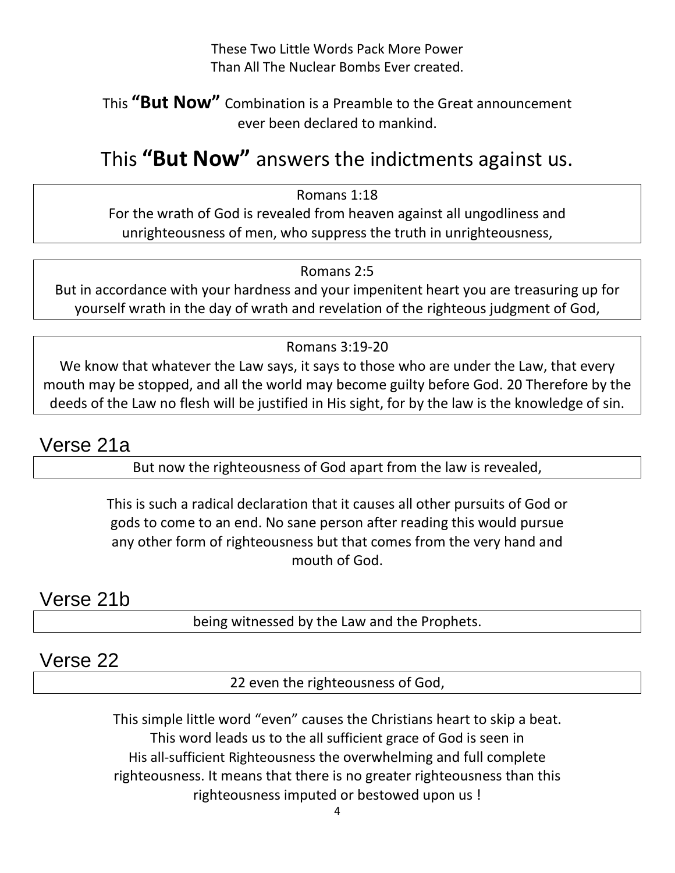These Two Little Words Pack More Power Than All The Nuclear Bombs Ever created.

### This **"But Now"** Combination is a Preamble to the Great announcement ever been declared to mankind.

# This **"But Now"** answers the indictments against us.

Romans 1:18

For the wrath of God is revealed from heaven against all ungodliness and unrighteousness of men, who suppress the truth in unrighteousness,

#### Romans 2:5

But in accordance with your hardness and your impenitent heart you are treasuring up for yourself wrath in the day of wrath and revelation of the righteous judgment of God,

#### Romans 3:19-20

We know that whatever the Law says, it says to those who are under the Law, that every mouth may be stopped, and all the world may become guilty before God. 20 Therefore by the deeds of the Law no flesh will be justified in His sight, for by the law is the knowledge of sin.

## Verse 21a

But now the righteousness of God apart from the law is revealed,

This is such a radical declaration that it causes all other pursuits of God or gods to come to an end. No sane person after reading this would pursue any other form of righteousness but that comes from the very hand and mouth of God.

## Verse 21b

being witnessed by the Law and the Prophets.

### Verse 22

22 even the righteousness of God,

This simple little word "even" causes the Christians heart to skip a beat. This word leads us to the all sufficient grace of God is seen in His all-sufficient Righteousness the overwhelming and full complete righteousness. It means that there is no greater righteousness than this righteousness imputed or bestowed upon us !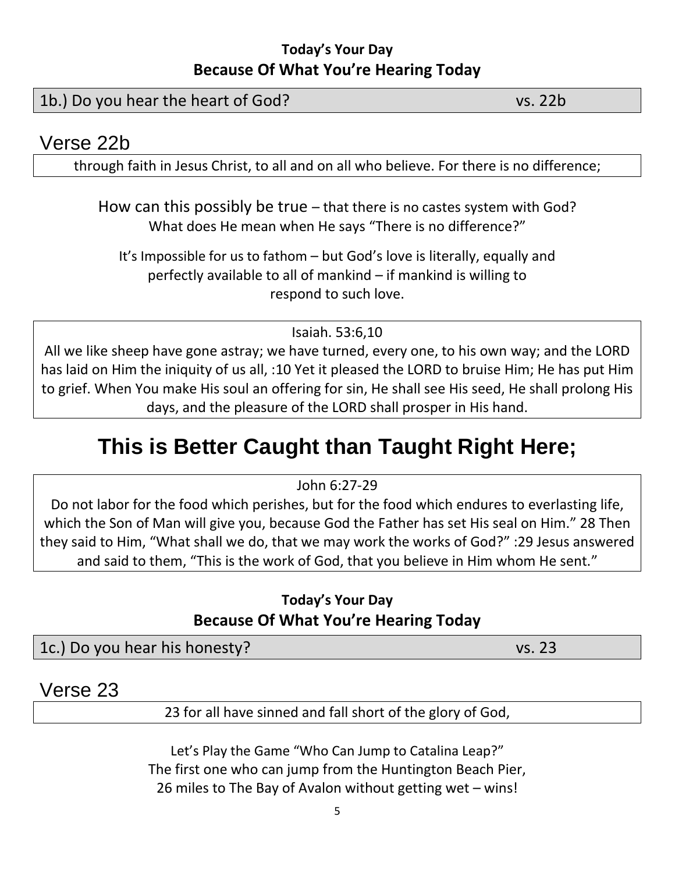### **Today's Your Day Because Of What You're Hearing Today**

### 1b.) Do you hear the heart of God? vs. 22b

### Verse 22b

through faith in Jesus Christ, to all and on all who believe. For there is no difference;

How can this possibly be true – that there is no castes system with God? What does He mean when He says "There is no difference?"

It's Impossible for us to fathom – but God's love is literally, equally and perfectly available to all of mankind – if mankind is willing to respond to such love.

#### Isaiah. 53:6,10

All we like sheep have gone astray; we have turned, every one, to his own way; and the LORD has laid on Him the iniquity of us all, :10 Yet it pleased the LORD to bruise Him; He has put Him to grief. When You make His soul an offering for sin, He shall see His seed, He shall prolong His days, and the pleasure of the LORD shall prosper in His hand.

# **This is Better Caught than Taught Right Here;**

John 6:27-29

Do not labor for the food which perishes, but for the food which endures to everlasting life, which the Son of Man will give you, because God the Father has set His seal on Him." 28 Then they said to Him, "What shall we do, that we may work the works of God?" :29 Jesus answered and said to them, "This is the work of God, that you believe in Him whom He sent."

### **Today's Your Day Because Of What You're Hearing Today**

1c.) Do you hear his honesty? vs. 23

Verse 23

23 for all have sinned and fall short of the glory of God,

Let's Play the Game "Who Can Jump to Catalina Leap?" The first one who can jump from the Huntington Beach Pier, 26 miles to The Bay of Avalon without getting wet – wins!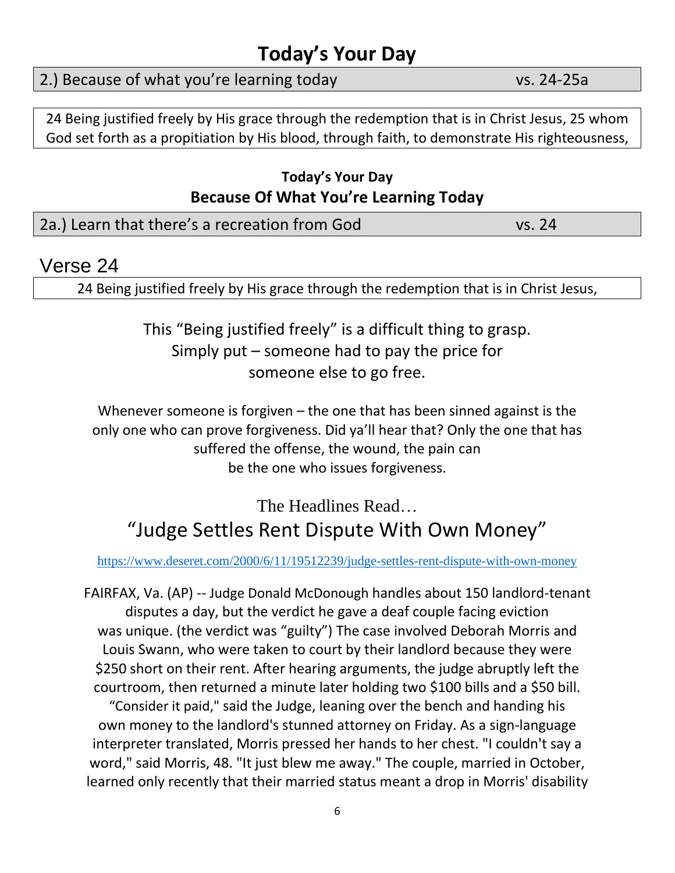## **Today's Your Day**

### 2.) Because of what you're learning today vs. 24-25a

24 Being justified freely by His grace through the redemption that is in Christ Jesus, 25 whom God set forth as a propitiation by His blood, through faith, to demonstrate His righteousness,

### **Today's Your Day Because Of What You're Learning Today**

| 2a.) Learn that there's a recreation from God | vs. 24 |
|-----------------------------------------------|--------|
|-----------------------------------------------|--------|

### Verse 24

24 Being justified freely by His grace through the redemption that is in Christ Jesus,

This "Being justified freely" is a difficult thing to grasp. Simply put – someone had to pay the price for someone else to go free.

Whenever someone is forgiven – the one that has been sinned against is the only one who can prove forgiveness. Did ya'll hear that? Only the one that has suffered the offense, the wound, the pain can be the one who issues forgiveness.

## The Headlines Read… "Judge Settles Rent Dispute With Own Money"

#### <https://www.deseret.com/2000/6/11/19512239/judge-settles-rent-dispute-with-own-money>

FAIRFAX, Va. (AP) -- Judge Donald McDonough handles about 150 landlord-tenant disputes a day, but the verdict he gave a deaf couple facing eviction was unique. (the verdict was "guilty") The case involved Deborah Morris and Louis Swann, who were taken to court by their landlord because they were \$250 short on their rent. After hearing arguments, the judge abruptly left the courtroom, then returned a minute later holding two \$100 bills and a \$50 bill. "Consider it paid," said the Judge, leaning over the bench and handing his own money to the landlord's stunned attorney on Friday. As a sign-language interpreter translated, Morris pressed her hands to her chest. "I couldn't say a word," said Morris, 48. "It just blew me away." The couple, married in October, learned only recently that their married status meant a drop in Morris' disability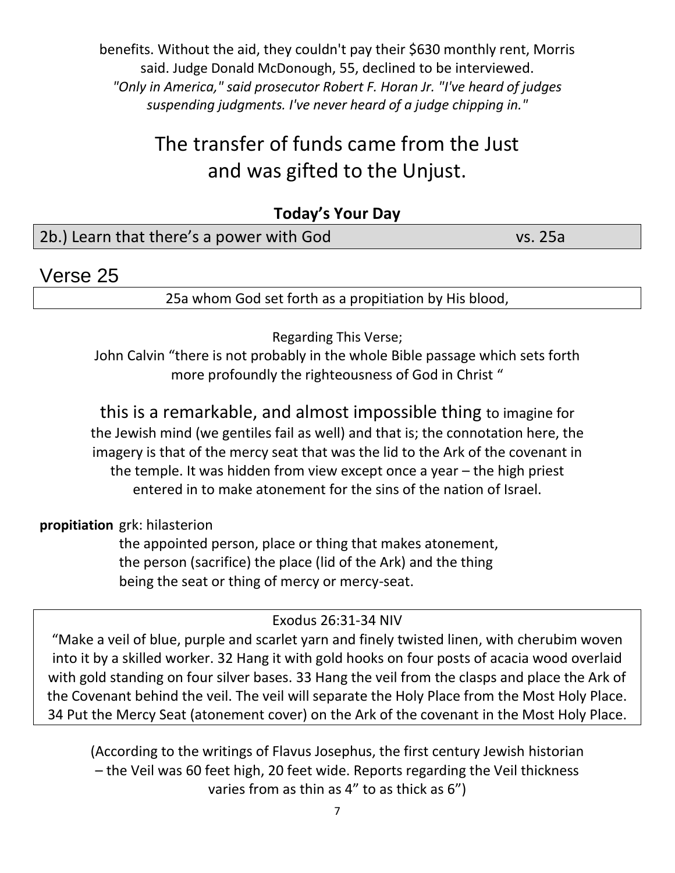benefits. Without the aid, they couldn't pay their \$630 monthly rent, Morris said. Judge Donald McDonough, 55, declined to be interviewed. *"Only in America," said prosecutor Robert F. Horan Jr. "I've heard of judges suspending judgments. I've never heard of a judge chipping in."*

# The transfer of funds came from the Just and was gifted to the Unjust.

### **Today's Your Day** 2b.) Learn that there's a power with God vs. 25a

### Verse 25

25a whom God set forth as a propitiation by His blood,

Regarding This Verse;

John Calvin "there is not probably in the whole Bible passage which sets forth more profoundly the righteousness of God in Christ "

this is a remarkable, and almost impossible thing to imagine for the Jewish mind (we gentiles fail as well) and that is; the connotation here, the imagery is that of the mercy seat that was the lid to the Ark of the covenant in the temple. It was hidden from view except once a year – the high priest entered in to make atonement for the sins of the nation of Israel.

**propitiation** grk: hilasterion

the appointed person, place or thing that makes atonement, the person (sacrifice) the place (lid of the Ark) and the thing being the seat or thing of mercy or mercy-seat.

Exodus 26:31-34 NIV

"Make a veil of blue, purple and scarlet yarn and finely twisted linen, with cherubim woven into it by a skilled worker. 32 Hang it with gold hooks on four posts of acacia wood overlaid with gold standing on four silver bases. 33 Hang the veil from the clasps and place the Ark of the Covenant behind the veil. The veil will separate the Holy Place from the Most Holy Place. 34 Put the Mercy Seat (atonement cover) on the Ark of the covenant in the Most Holy Place.

(According to the writings of Flavus Josephus, the first century Jewish historian – the Veil was 60 feet high, 20 feet wide. Reports regarding the Veil thickness varies from as thin as 4" to as thick as 6")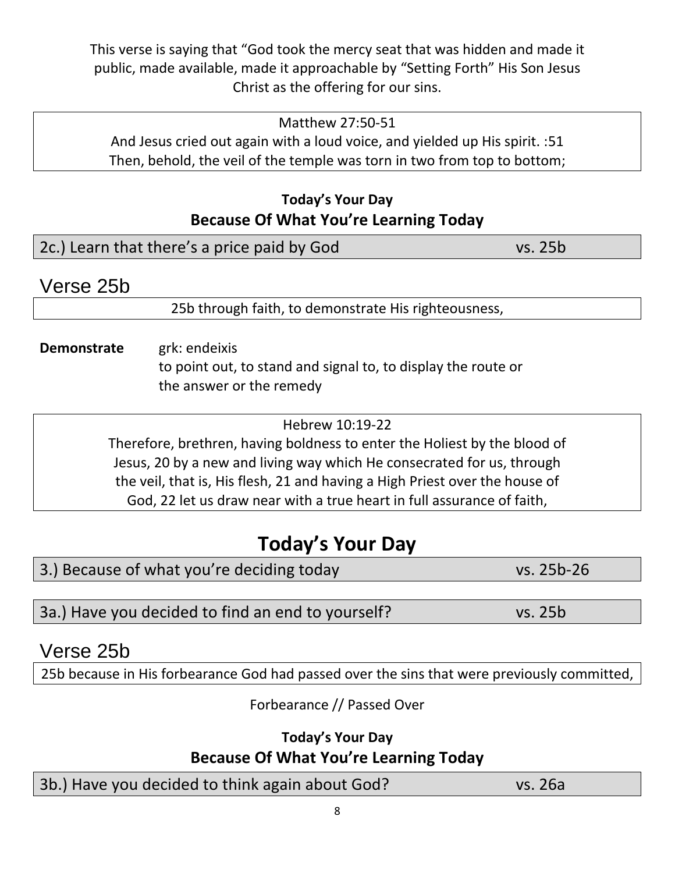This verse is saying that "God took the mercy seat that was hidden and made it public, made available, made it approachable by "Setting Forth" His Son Jesus Christ as the offering for our sins.

#### Matthew 27:50-51 And Jesus cried out again with a loud voice, and yielded up His spirit. :51 Then, behold, the veil of the temple was torn in two from top to bottom;

### **Today's Your Day Because Of What You're Learning Today**

| 2c.) Learn that there's a price paid by God<br>vs. 25b |  |
|--------------------------------------------------------|--|
|--------------------------------------------------------|--|

## Verse 25b

25b through faith, to demonstrate His righteousness,

### **Demonstrate** grk: endeixis to point out, to stand and signal to, to display the route or the answer or the remedy

Hebrew 10:19-22

Therefore, brethren, having boldness to enter the Holiest by the blood of Jesus, 20 by a new and living way which He consecrated for us, through the veil, that is, His flesh, 21 and having a High Priest over the house of God, 22 let us draw near with a true heart in full assurance of faith,

# **Today's Your Day**

| 3.) Because of what you're deciding today<br>vs. 25b-26 |  |
|---------------------------------------------------------|--|
|---------------------------------------------------------|--|

3a.) Have you decided to find an end to yourself? vs. 25b

## Verse 25b

25b because in His forbearance God had passed over the sins that were previously committed,

Forbearance // Passed Over

**Today's Your Day**

## **Because Of What You're Learning Today**

3b.) Have you decided to think again about God? vs. 26a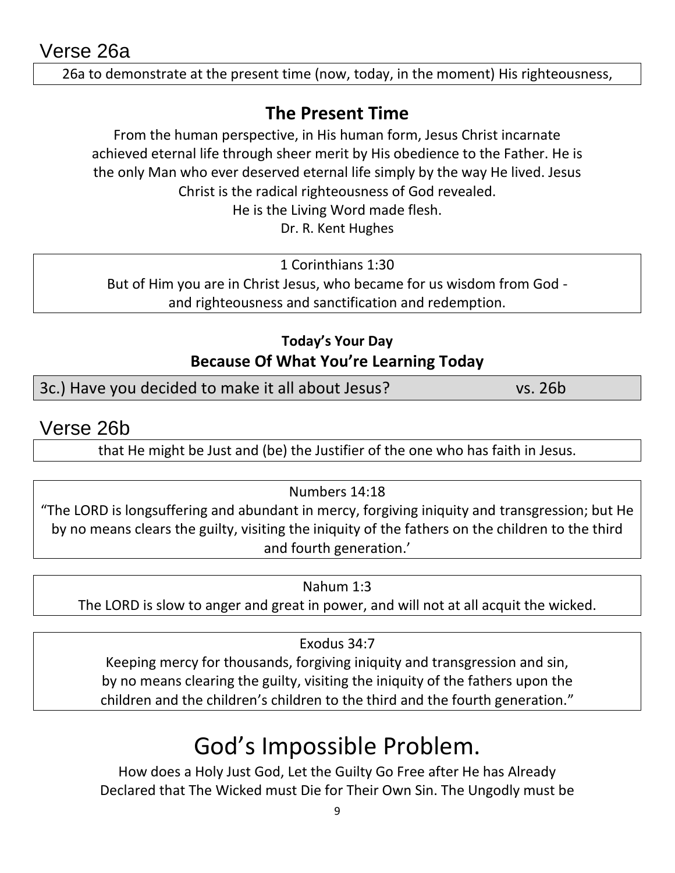Verse 26a

26a to demonstrate at the present time (now, today, in the moment) His righteousness,

### **The Present Time**

From the human perspective, in His human form, Jesus Christ incarnate achieved eternal life through sheer merit by His obedience to the Father. He is the only Man who ever deserved eternal life simply by the way He lived. Jesus Christ is the radical righteousness of God revealed.

He is the Living Word made flesh.

Dr. R. Kent Hughes

1 Corinthians 1:30 But of Him you are in Christ Jesus, who became for us wisdom from God and righteousness and sanctification and redemption.

### **Today's Your Day Because Of What You're Learning Today**

3c.) Have you decided to make it all about Jesus? vs. 26b

Verse 26b

that He might be Just and (be) the Justifier of the one who has faith in Jesus.

#### Numbers 14:18

"The LORD is longsuffering and abundant in mercy, forgiving iniquity and transgression; but He by no means clears the guilty, visiting the iniquity of the fathers on the children to the third and fourth generation.'

#### Nahum 1:3

The LORD is slow to anger and great in power, and will not at all acquit the wicked.

#### Exodus 34:7

Keeping mercy for thousands, forgiving iniquity and transgression and sin, by no means clearing the guilty, visiting the iniquity of the fathers upon the children and the children's children to the third and the fourth generation."

# God's Impossible Problem.

How does a Holy Just God, Let the Guilty Go Free after He has Already Declared that The Wicked must Die for Their Own Sin. The Ungodly must be